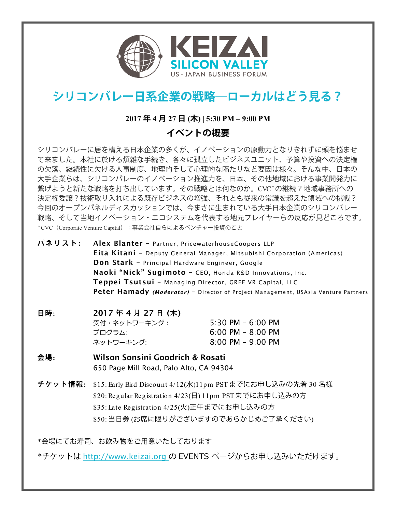

# **シリコンバレー日系企業の戦略―ローカルはどう見る?**

### **2017 年 4 月 27 日 (木) | 5:30 PM – 9:00 PM**

## **イベントの概要**

シリコンバレーに居を構える日本企業の多くが、イノベーションの原動力となりきれずに頭を悩ませ て来ました。本社に於ける煩雑な手続き、各々に孤立したビジネスユニット、予算や投資への決定権 の欠落、継続性に欠ける人事制度、地理的そして心理的な隔たりなど要因は様々。そんな中、日本の 大手企業らは、シリコンバレーのイノベーション推進力を、日本、その他地域における事業開発力に 繋げようと新たな戦略を打ち出しています。その戦略とは何なのか。CVC\*の継続?地域事務所への 決定権委譲?技術取り入れによる既存ビジネスの増強、それとも従来の常識を超えた領域への挑戦? 今回のオープンパネルディスカッションでは、今まさに生まれている大手日本企業のシリコンバレー 戦略、そして当地イノベーション・エコシステムを代表する地元プレイヤーらの反応が見どころです。 \*CVC (Corporate Venture Capital): 事業会社自らによるベンチャー投資のこと

**パネリスト :** Alex Blanter – Partner, PricewaterhouseCoopers LLP Eita Kitani – Deputy General Manager, Mitsubishi Corporation (Americas) Don Stark – Principal Hardware Engineer, Google Naoki "Nick" Sugimoto – CEO, Honda R&D Innovations, Inc. Teppei Tsutsui – Managing Director, GREE VR Capital, LLC Peter Hamady *(Moderator)* – Director of Project Management, USAsia Venture Partners

> $30 \text{ PM} - 6:00 \text{ PM}$ 00 PM – 8:00 PM 00 PM – 9:00 PM

| 日時: | 2017年4月27日(木) |    |
|-----|---------------|----|
|     | 受付・ネットワーキング:  | 5: |
|     | プログラム:        | 6: |
|     | ネットワーキング:     | 8: |

#### **会場:** Wilson Sonsini Goodrich & Rosati 650 Page Mill Road, Palo Alto, CA 94304

**チケット情報:** \$15: Early Bird Discount 4/12(水)11pm PST までにお申し込みの先着 30 名様 \$20: Regular Registration 4/23(日) 11pm PST までにお申し込みの方 \$35: Late Registration 4/25(火)正午までにお申し込みの方 \$50: 当日券 (お席に限りがございますのであらかじめご了承ください)

\*会場にてお寿司、お飲み物をご用意いたしております

\*チケットは http://www.keizai.org の EVENTS ページからお申し込みいただけます。